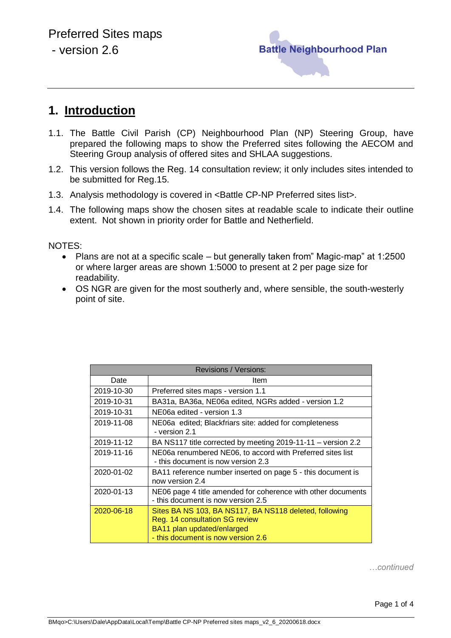

## **1. Introduction**

- 1.1. The Battle Civil Parish (CP) Neighbourhood Plan (NP) Steering Group, have prepared the following maps to show the Preferred sites following the AECOM and Steering Group analysis of offered sites and SHLAA suggestions.
- 1.2. This version follows the Reg. 14 consultation review; it only includes sites intended to be submitted for Reg.15.
- 1.3. Analysis methodology is covered in <Battle CP-NP Preferred sites list>.
- 1.4. The following maps show the chosen sites at readable scale to indicate their outline extent. Not shown in priority order for Battle and Netherfield.

NOTES:

- Plans are not at a specific scale but generally taken from" Magic-map" at 1:2500 or where larger areas are shown 1:5000 to present at 2 per page size for readability.
- OS NGR are given for the most southerly and, where sensible, the south-westerly point of site.

| Revisions / Versions: |                                                                                                                                                              |
|-----------------------|--------------------------------------------------------------------------------------------------------------------------------------------------------------|
| Date                  | Item                                                                                                                                                         |
| 2019-10-30            | Preferred sites maps - version 1.1                                                                                                                           |
| 2019-10-31            | BA31a, BA36a, NE06a edited, NGRs added - version 1.2                                                                                                         |
| 2019-10-31            | NE06a edited - version 1.3                                                                                                                                   |
| 2019-11-08            | NE06a edited; Blackfriars site: added for completeness<br>- version 2.1                                                                                      |
| 2019-11-12            | BA NS117 title corrected by meeting 2019-11-11 – version 2.2                                                                                                 |
| 2019-11-16            | NE06a renumbered NE06, to accord with Preferred sites list<br>- this document is now version 2.3                                                             |
| 2020-01-02            | BA11 reference number inserted on page 5 - this document is<br>now version 2.4                                                                               |
| 2020-01-13            | NE06 page 4 title amended for coherence with other documents<br>- this document is now version 2.5                                                           |
| 2020-06-18            | Sites BA NS 103, BA NS117, BA NS118 deleted, following<br>Reg. 14 consultation SG review<br>BA11 plan updated/enlarged<br>- this document is now version 2.6 |

*…continued*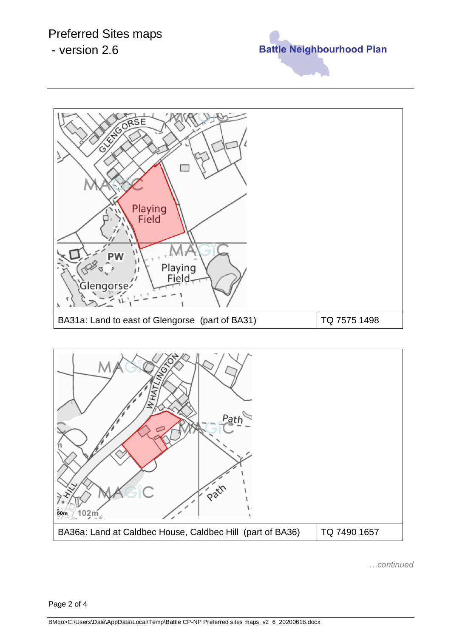## Preferred Sites maps

- version 2.6







*…continued*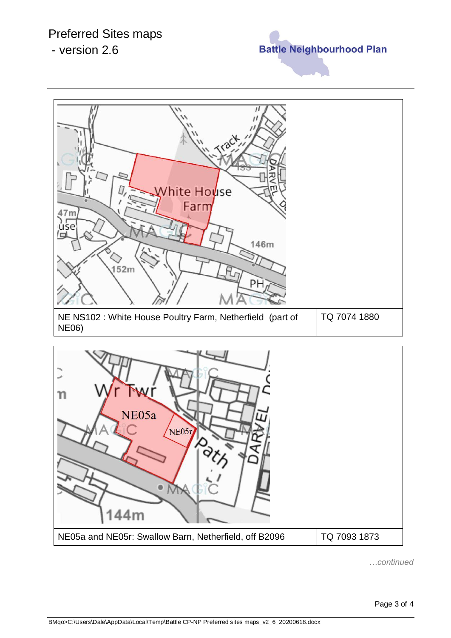## Preferred Sites maps

- version 2.6







*…continued*